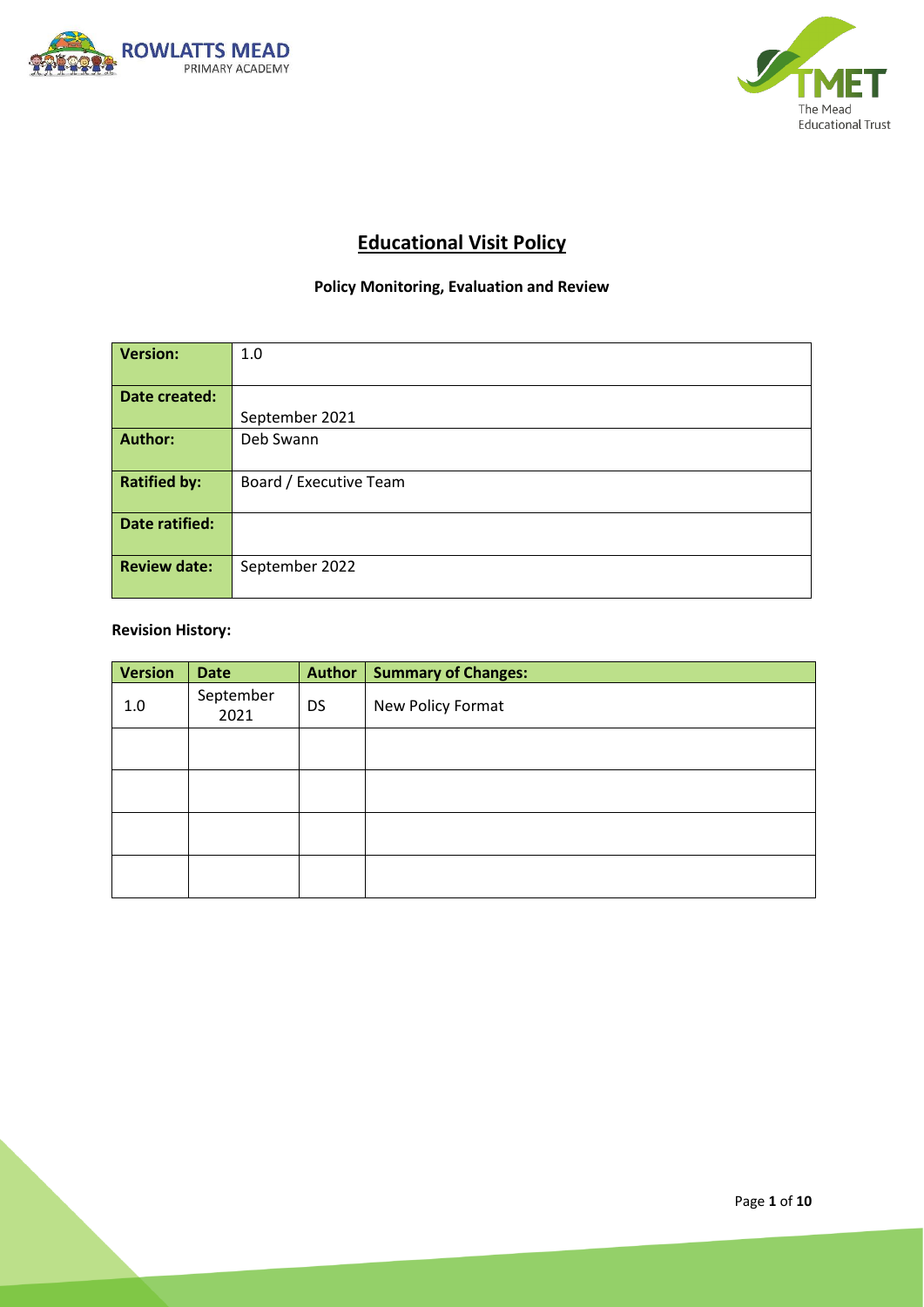



# **Educational Visit Policy**

# **Policy Monitoring, Evaluation and Review**

| Version:            | 1.0                    |  |  |
|---------------------|------------------------|--|--|
|                     |                        |  |  |
| Date created:       |                        |  |  |
|                     | September 2021         |  |  |
| Author:             | Deb Swann              |  |  |
|                     |                        |  |  |
| <b>Ratified by:</b> | Board / Executive Team |  |  |
|                     |                        |  |  |
| Date ratified:      |                        |  |  |
|                     |                        |  |  |
| <b>Review date:</b> | September 2022         |  |  |
|                     |                        |  |  |

## **Revision History:**

| <b>Version</b> | <b>Date</b>       | <b>Author</b> | <b>Summary of Changes:</b> |
|----------------|-------------------|---------------|----------------------------|
| 1.0            | September<br>2021 | <b>DS</b>     | New Policy Format          |
|                |                   |               |                            |
|                |                   |               |                            |
|                |                   |               |                            |
|                |                   |               |                            |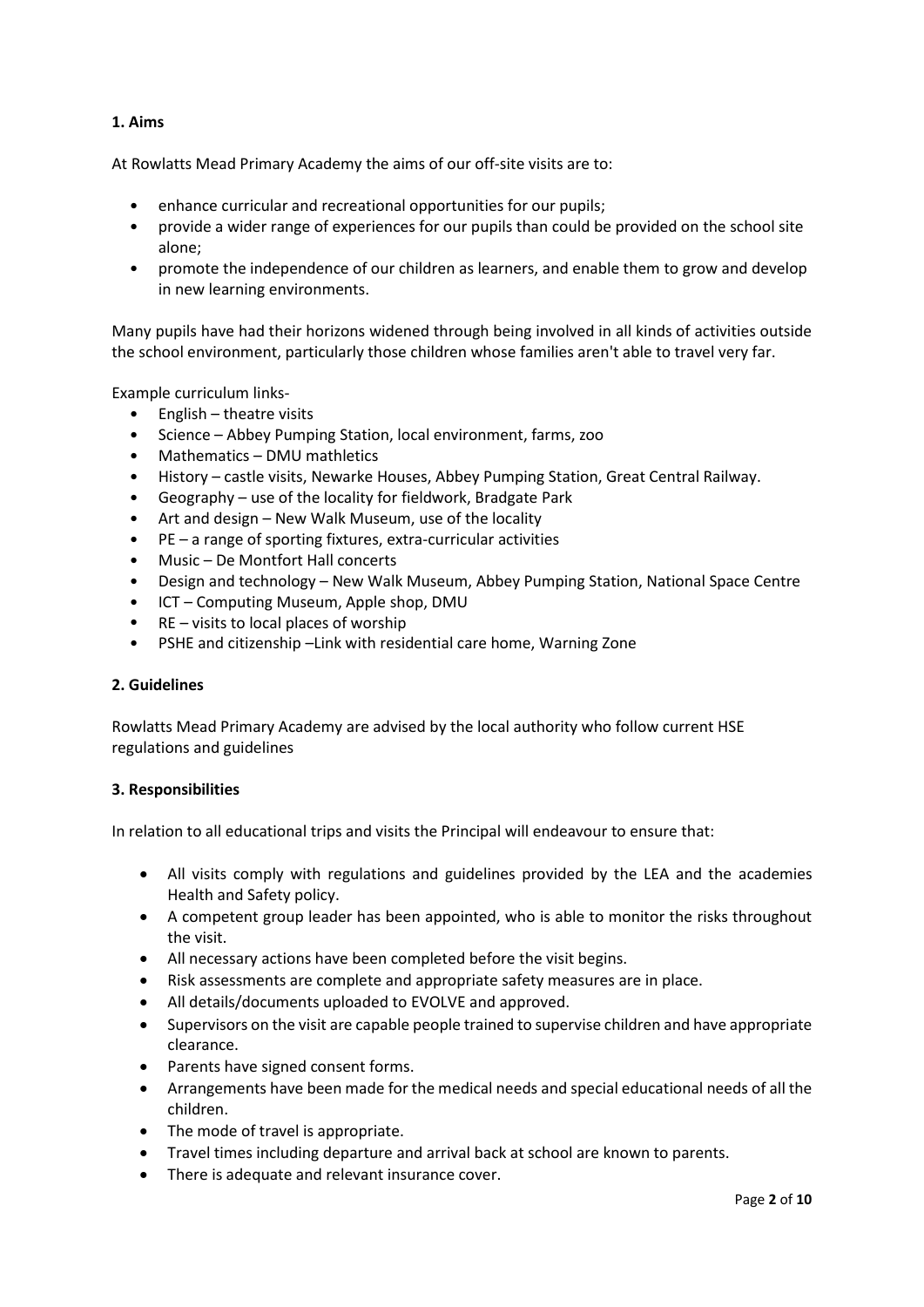## **1. Aims**

At Rowlatts Mead Primary Academy the aims of our off-site visits are to:

- enhance curricular and recreational opportunities for our pupils;
- provide a wider range of experiences for our pupils than could be provided on the school site alone;
- promote the independence of our children as learners, and enable them to grow and develop in new learning environments.

Many pupils have had their horizons widened through being involved in all kinds of activities outside the school environment, particularly those children whose families aren't able to travel very far.

Example curriculum links-

- English theatre visits
- Science Abbey Pumping Station, local environment, farms, zoo
- Mathematics DMU mathletics
- History castle visits, Newarke Houses, Abbey Pumping Station, Great Central Railway.
- Geography use of the locality for fieldwork, Bradgate Park
- Art and design New Walk Museum, use of the locality
- PE a range of sporting fixtures, extra-curricular activities
- Music De Montfort Hall concerts
- Design and technology New Walk Museum, Abbey Pumping Station, National Space Centre
- ICT Computing Museum, Apple shop, DMU
- $RE visits$  to local places of worship
- PSHE and citizenship –Link with residential care home, Warning Zone

### **2. Guidelines**

Rowlatts Mead Primary Academy are advised by the local authority who follow current HSE regulations and guidelines

### **3. Responsibilities**

In relation to all educational trips and visits the Principal will endeavour to ensure that:

- All visits comply with regulations and guidelines provided by the LEA and the academies Health and Safety policy.
- A competent group leader has been appointed, who is able to monitor the risks throughout the visit.
- All necessary actions have been completed before the visit begins.
- Risk assessments are complete and appropriate safety measures are in place.
- All details/documents uploaded to EVOLVE and approved.
- Supervisors on the visit are capable people trained to supervise children and have appropriate clearance.
- Parents have signed consent forms.
- Arrangements have been made for the medical needs and special educational needs of all the children.
- The mode of travel is appropriate.
- Travel times including departure and arrival back at school are known to parents.
- There is adequate and relevant insurance cover.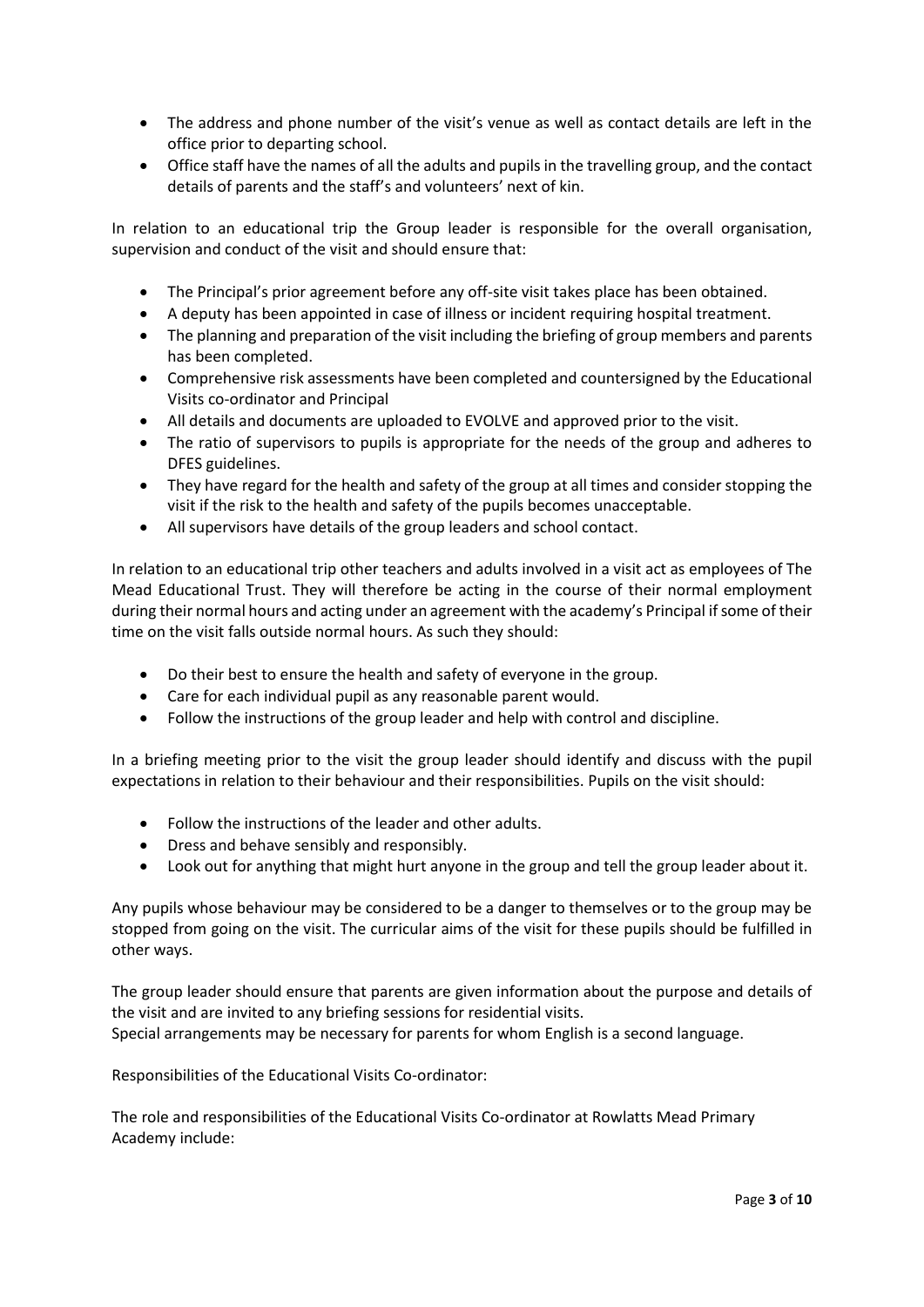- The address and phone number of the visit's venue as well as contact details are left in the office prior to departing school.
- Office staff have the names of all the adults and pupils in the travelling group, and the contact details of parents and the staff's and volunteers' next of kin.

In relation to an educational trip the Group leader is responsible for the overall organisation, supervision and conduct of the visit and should ensure that:

- The Principal's prior agreement before any off-site visit takes place has been obtained.
- A deputy has been appointed in case of illness or incident requiring hospital treatment.
- The planning and preparation of the visit including the briefing of group members and parents has been completed.
- Comprehensive risk assessments have been completed and countersigned by the Educational Visits co-ordinator and Principal
- All details and documents are uploaded to EVOLVE and approved prior to the visit.
- The ratio of supervisors to pupils is appropriate for the needs of the group and adheres to DFES guidelines.
- They have regard for the health and safety of the group at all times and consider stopping the visit if the risk to the health and safety of the pupils becomes unacceptable.
- All supervisors have details of the group leaders and school contact.

In relation to an educational trip other teachers and adults involved in a visit act as employees of The Mead Educational Trust. They will therefore be acting in the course of their normal employment during their normal hours and acting under an agreement with the academy's Principal if some of their time on the visit falls outside normal hours. As such they should:

- Do their best to ensure the health and safety of everyone in the group.
- Care for each individual pupil as any reasonable parent would.
- Follow the instructions of the group leader and help with control and discipline.

In a briefing meeting prior to the visit the group leader should identify and discuss with the pupil expectations in relation to their behaviour and their responsibilities. Pupils on the visit should:

- Follow the instructions of the leader and other adults.
- Dress and behave sensibly and responsibly.
- Look out for anything that might hurt anyone in the group and tell the group leader about it.

Any pupils whose behaviour may be considered to be a danger to themselves or to the group may be stopped from going on the visit. The curricular aims of the visit for these pupils should be fulfilled in other ways.

The group leader should ensure that parents are given information about the purpose and details of the visit and are invited to any briefing sessions for residential visits. Special arrangements may be necessary for parents for whom English is a second language.

Responsibilities of the Educational Visits Co-ordinator:

The role and responsibilities of the Educational Visits Co-ordinator at Rowlatts Mead Primary Academy include: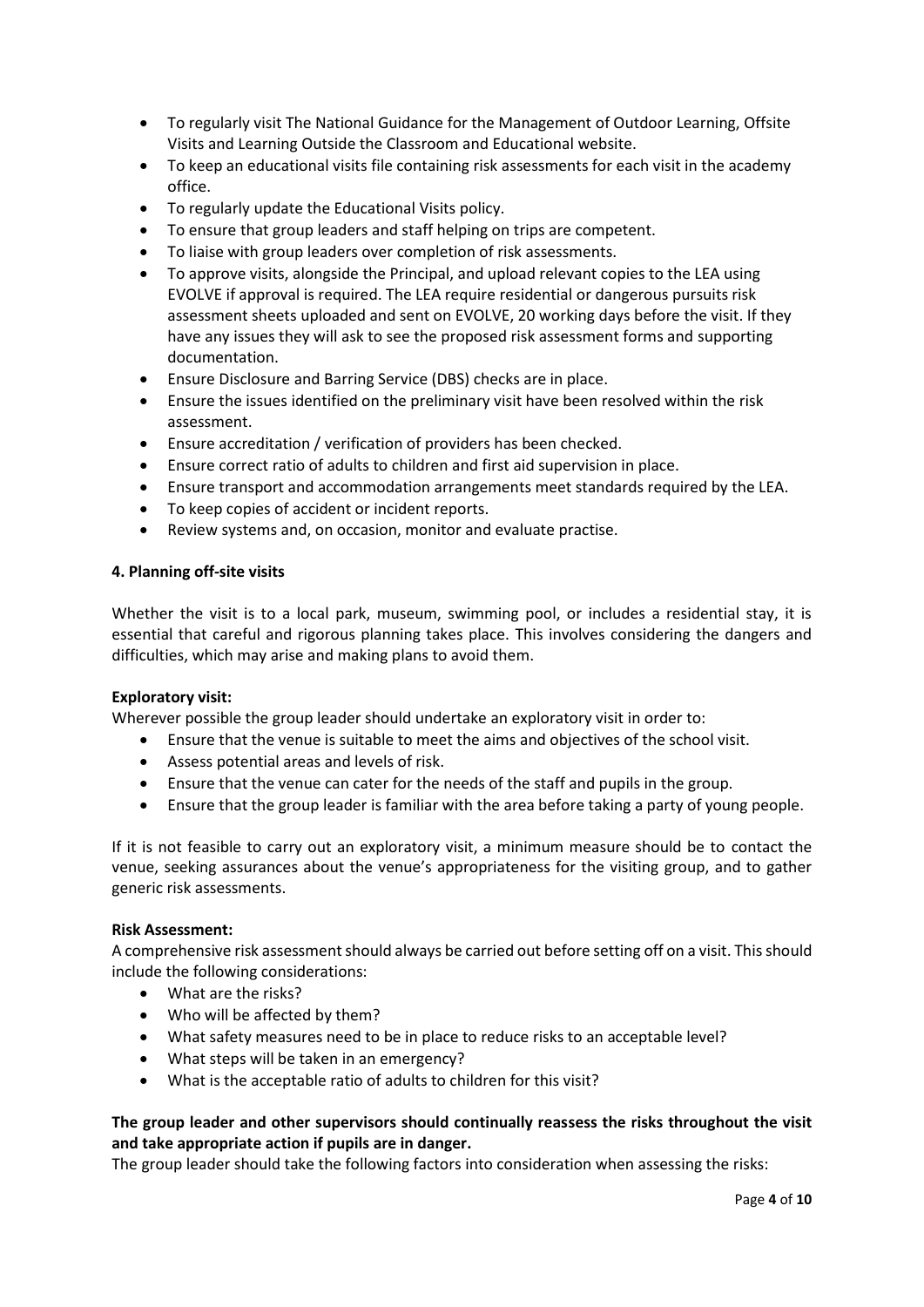- To regularly visit The National Guidance for the Management of Outdoor Learning, Offsite Visits and Learning Outside the Classroom and Educational website.
- To keep an educational visits file containing risk assessments for each visit in the academy office.
- To regularly update the Educational Visits policy.
- To ensure that group leaders and staff helping on trips are competent.
- To liaise with group leaders over completion of risk assessments.
- To approve visits, alongside the Principal, and upload relevant copies to the LEA using EVOLVE if approval is required. The LEA require residential or dangerous pursuits risk assessment sheets uploaded and sent on EVOLVE, 20 working days before the visit. If they have any issues they will ask to see the proposed risk assessment forms and supporting documentation.
- Ensure Disclosure and Barring Service (DBS) checks are in place.
- Ensure the issues identified on the preliminary visit have been resolved within the risk assessment.
- Ensure accreditation / verification of providers has been checked.
- Ensure correct ratio of adults to children and first aid supervision in place.
- Ensure transport and accommodation arrangements meet standards required by the LEA.
- To keep copies of accident or incident reports.
- Review systems and, on occasion, monitor and evaluate practise.

#### **4. Planning off-site visits**

Whether the visit is to a local park, museum, swimming pool, or includes a residential stay, it is essential that careful and rigorous planning takes place. This involves considering the dangers and difficulties, which may arise and making plans to avoid them.

### **Exploratory visit:**

Wherever possible the group leader should undertake an exploratory visit in order to:

- Ensure that the venue is suitable to meet the aims and objectives of the school visit.
- Assess potential areas and levels of risk.
- Ensure that the venue can cater for the needs of the staff and pupils in the group.
- Ensure that the group leader is familiar with the area before taking a party of young people.

If it is not feasible to carry out an exploratory visit, a minimum measure should be to contact the venue, seeking assurances about the venue's appropriateness for the visiting group, and to gather generic risk assessments.

### **Risk Assessment:**

A comprehensive risk assessment should always be carried out before setting off on a visit. This should include the following considerations:

- What are the risks?
- Who will be affected by them?
- What safety measures need to be in place to reduce risks to an acceptable level?
- What steps will be taken in an emergency?
- What is the acceptable ratio of adults to children for this visit?

## **The group leader and other supervisors should continually reassess the risks throughout the visit and take appropriate action if pupils are in danger.**

The group leader should take the following factors into consideration when assessing the risks: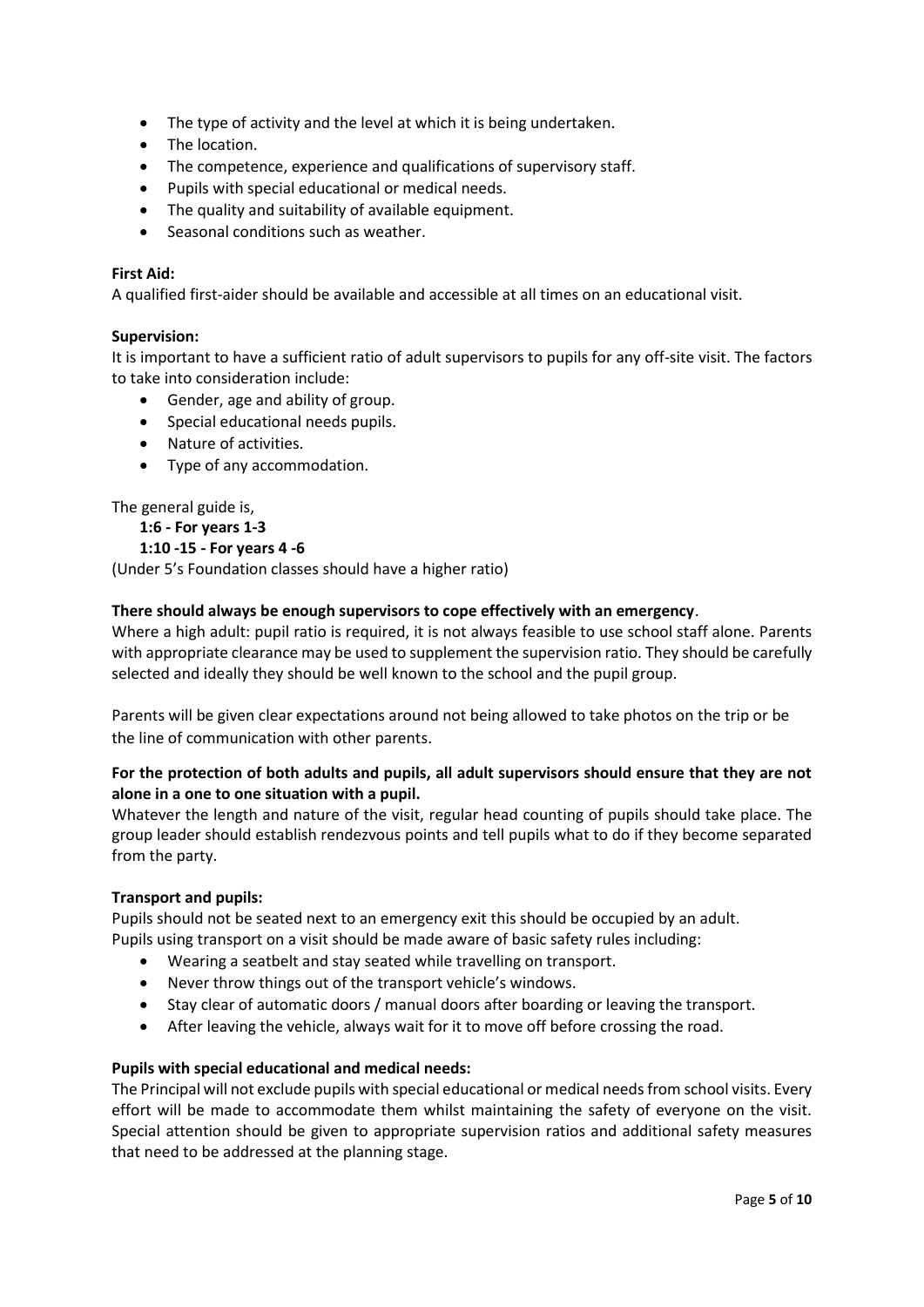- The type of activity and the level at which it is being undertaken.
- The location.
- The competence, experience and qualifications of supervisory staff.
- Pupils with special educational or medical needs.
- The quality and suitability of available equipment.
- Seasonal conditions such as weather.

#### **First Aid:**

A qualified first-aider should be available and accessible at all times on an educational visit.

#### **Supervision:**

It is important to have a sufficient ratio of adult supervisors to pupils for any off-site visit. The factors to take into consideration include:

- Gender, age and ability of group.
- Special educational needs pupils.
- Nature of activities.
- Type of any accommodation.

The general guide is,

```
1:6 - For years 1-3
```
#### **1:10 -15 - For years 4 -6**

(Under 5's Foundation classes should have a higher ratio)

#### **There should always be enough supervisors to cope effectively with an emergency**.

Where a high adult: pupil ratio is required, it is not always feasible to use school staff alone. Parents with appropriate clearance may be used to supplement the supervision ratio. They should be carefully selected and ideally they should be well known to the school and the pupil group.

Parents will be given clear expectations around not being allowed to take photos on the trip or be the line of communication with other parents.

## **For the protection of both adults and pupils, all adult supervisors should ensure that they are not alone in a one to one situation with a pupil.**

Whatever the length and nature of the visit, regular head counting of pupils should take place. The group leader should establish rendezvous points and tell pupils what to do if they become separated from the party.

#### **Transport and pupils:**

Pupils should not be seated next to an emergency exit this should be occupied by an adult. Pupils using transport on a visit should be made aware of basic safety rules including:

- Wearing a seatbelt and stay seated while travelling on transport.
- Never throw things out of the transport vehicle's windows.
- Stay clear of automatic doors / manual doors after boarding or leaving the transport.
- After leaving the vehicle, always wait for it to move off before crossing the road.

#### **Pupils with special educational and medical needs:**

The Principal will not exclude pupils with special educational or medical needs from school visits. Every effort will be made to accommodate them whilst maintaining the safety of everyone on the visit. Special attention should be given to appropriate supervision ratios and additional safety measures that need to be addressed at the planning stage.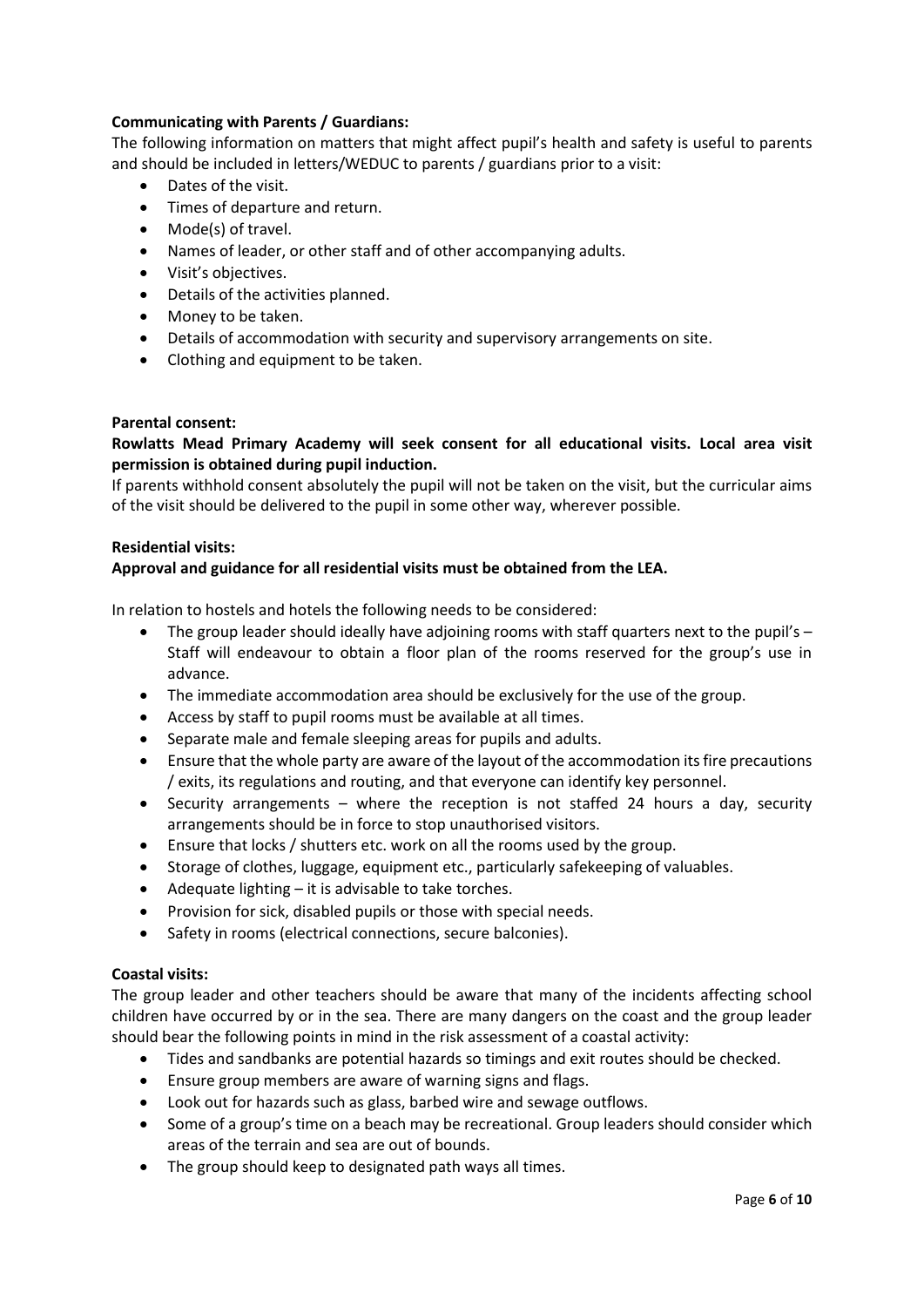## **Communicating with Parents / Guardians:**

The following information on matters that might affect pupil's health and safety is useful to parents and should be included in letters/WEDUC to parents / guardians prior to a visit:

- Dates of the visit.
- Times of departure and return.
- Mode(s) of travel.
- Names of leader, or other staff and of other accompanying adults.
- Visit's objectives.
- Details of the activities planned.
- Money to be taken.
- Details of accommodation with security and supervisory arrangements on site.
- Clothing and equipment to be taken.

### **Parental consent:**

## **Rowlatts Mead Primary Academy will seek consent for all educational visits. Local area visit permission is obtained during pupil induction.**

If parents withhold consent absolutely the pupil will not be taken on the visit, but the curricular aims of the visit should be delivered to the pupil in some other way, wherever possible.

### **Residential visits:**

## **Approval and guidance for all residential visits must be obtained from the LEA.**

In relation to hostels and hotels the following needs to be considered:

- The group leader should ideally have adjoining rooms with staff quarters next to the pupil's Staff will endeavour to obtain a floor plan of the rooms reserved for the group's use in advance.
- The immediate accommodation area should be exclusively for the use of the group.
- Access by staff to pupil rooms must be available at all times.
- Separate male and female sleeping areas for pupils and adults.
- Ensure that the whole party are aware of the layout of the accommodation its fire precautions / exits, its regulations and routing, and that everyone can identify key personnel.
- Security arrangements where the reception is not staffed 24 hours a day, security arrangements should be in force to stop unauthorised visitors.
- Ensure that locks / shutters etc. work on all the rooms used by the group.
- Storage of clothes, luggage, equipment etc., particularly safekeeping of valuables.
- Adequate lighting it is advisable to take torches.
- Provision for sick, disabled pupils or those with special needs.
- Safety in rooms (electrical connections, secure balconies).

### **Coastal visits:**

The group leader and other teachers should be aware that many of the incidents affecting school children have occurred by or in the sea. There are many dangers on the coast and the group leader should bear the following points in mind in the risk assessment of a coastal activity:

- Tides and sandbanks are potential hazards so timings and exit routes should be checked.
- Ensure group members are aware of warning signs and flags.
- Look out for hazards such as glass, barbed wire and sewage outflows.
- Some of a group's time on a beach may be recreational. Group leaders should consider which areas of the terrain and sea are out of bounds.
- The group should keep to designated path ways all times.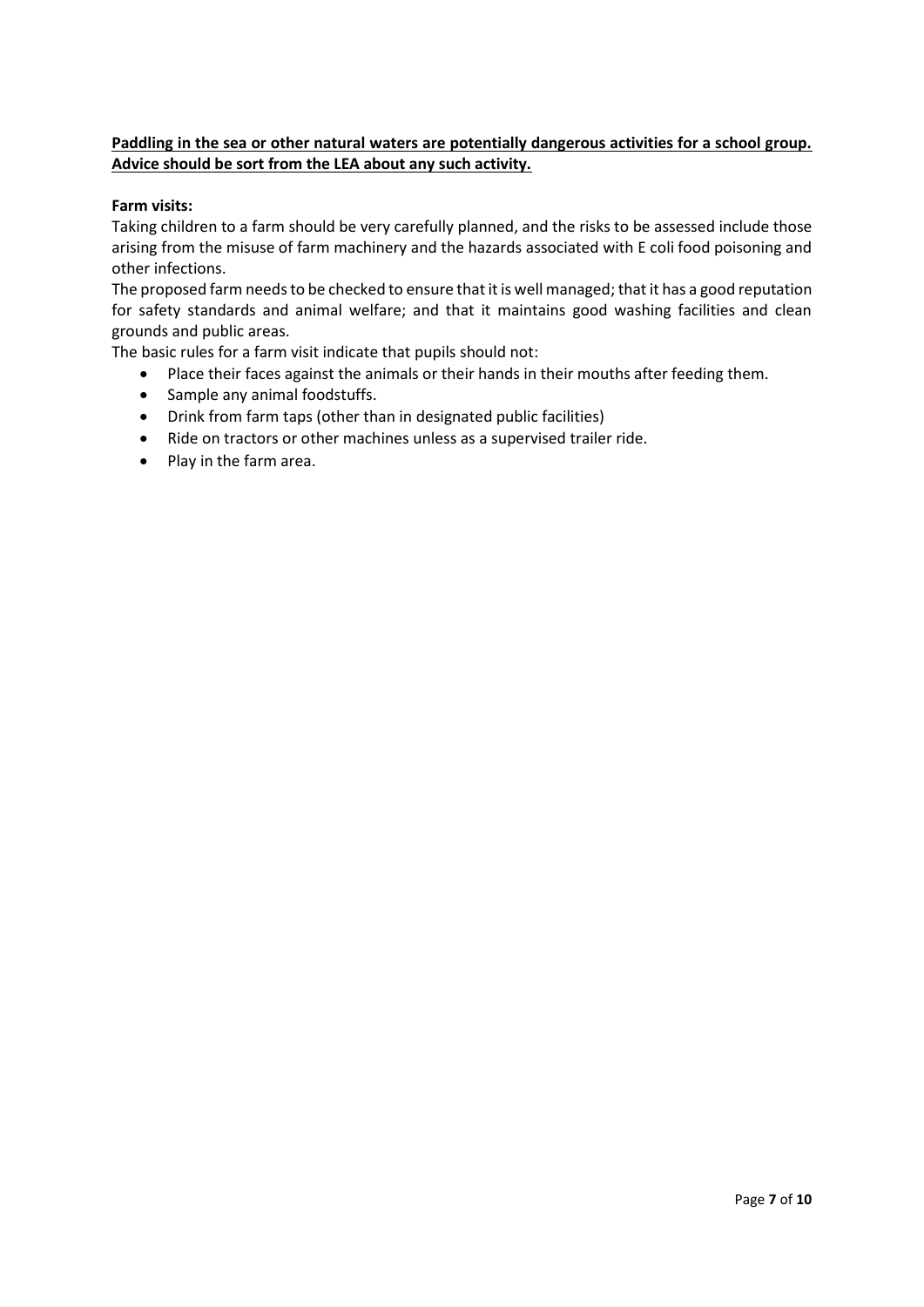## **Paddling in the sea or other natural waters are potentially dangerous activities for a school group. Advice should be sort from the LEA about any such activity.**

## **Farm visits:**

Taking children to a farm should be very carefully planned, and the risks to be assessed include those arising from the misuse of farm machinery and the hazards associated with E coli food poisoning and other infections.

The proposed farm needs to be checked to ensure that it is well managed; that it has a good reputation for safety standards and animal welfare; and that it maintains good washing facilities and clean grounds and public areas.

The basic rules for a farm visit indicate that pupils should not:

- Place their faces against the animals or their hands in their mouths after feeding them.
- Sample any animal foodstuffs.
- Drink from farm taps (other than in designated public facilities)
- Ride on tractors or other machines unless as a supervised trailer ride.
- Play in the farm area.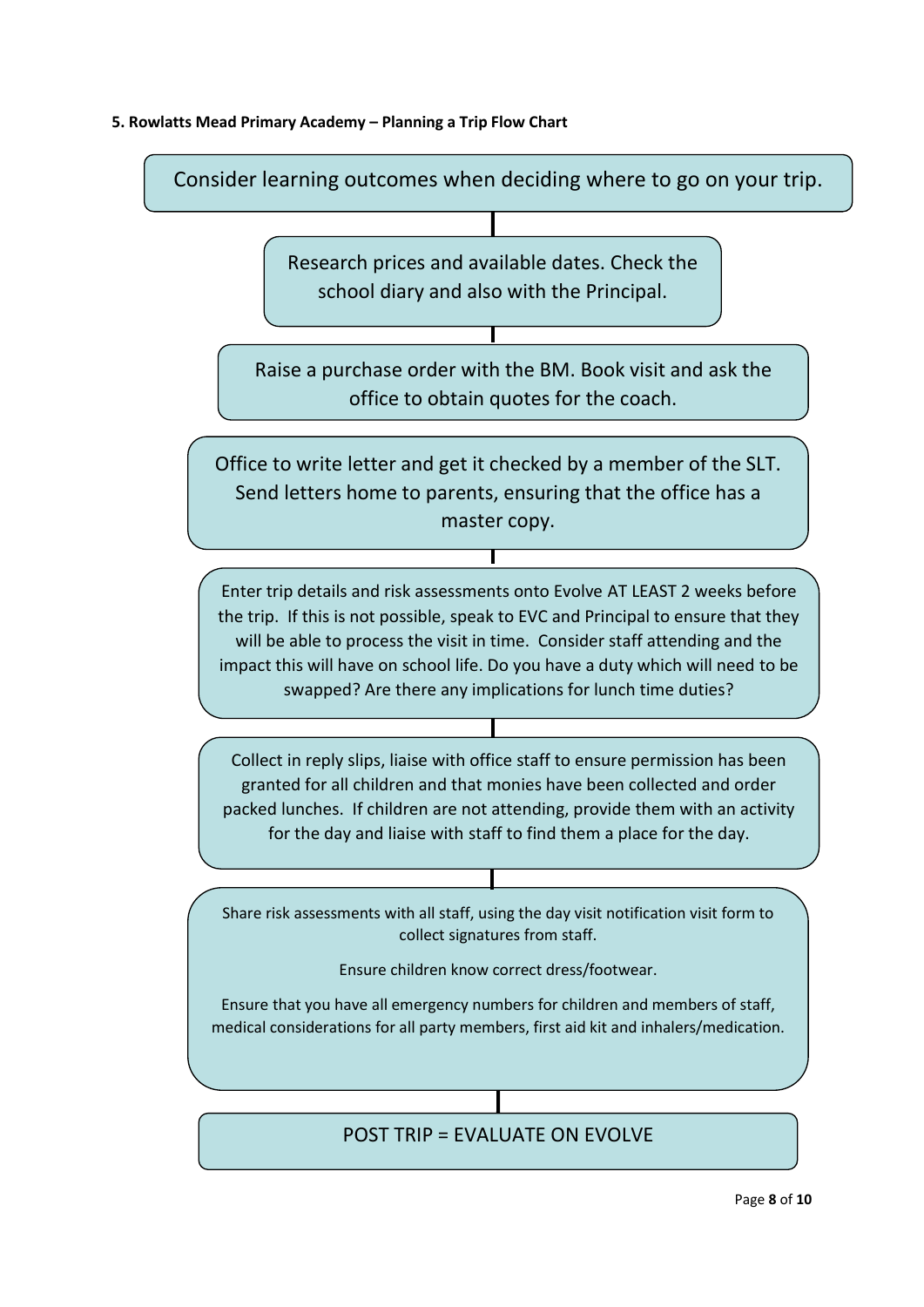## **5. Rowlatts Mead Primary Academy – Planning a Trip Flow Chart**

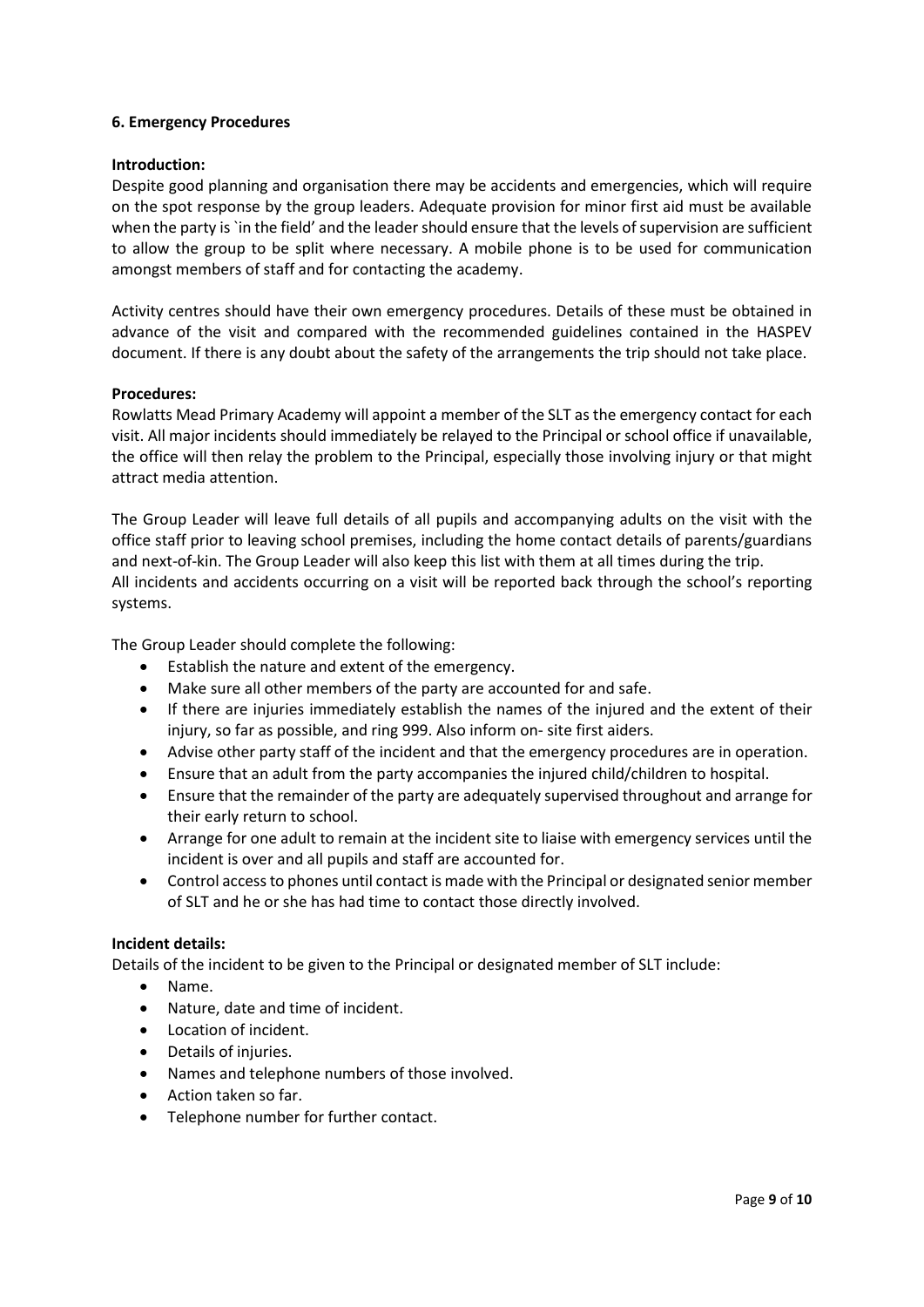#### **6. Emergency Procedures**

#### **Introduction:**

Despite good planning and organisation there may be accidents and emergencies, which will require on the spot response by the group leaders. Adequate provision for minor first aid must be available when the party is `in the field' and the leader should ensure that the levels of supervision are sufficient to allow the group to be split where necessary. A mobile phone is to be used for communication amongst members of staff and for contacting the academy.

Activity centres should have their own emergency procedures. Details of these must be obtained in advance of the visit and compared with the recommended guidelines contained in the HASPEV document. If there is any doubt about the safety of the arrangements the trip should not take place.

#### **Procedures:**

Rowlatts Mead Primary Academy will appoint a member of the SLT as the emergency contact for each visit. All major incidents should immediately be relayed to the Principal or school office if unavailable, the office will then relay the problem to the Principal, especially those involving injury or that might attract media attention.

The Group Leader will leave full details of all pupils and accompanying adults on the visit with the office staff prior to leaving school premises, including the home contact details of parents/guardians and next-of-kin. The Group Leader will also keep this list with them at all times during the trip. All incidents and accidents occurring on a visit will be reported back through the school's reporting systems.

The Group Leader should complete the following:

- Establish the nature and extent of the emergency.
- Make sure all other members of the party are accounted for and safe.
- If there are injuries immediately establish the names of the injured and the extent of their injury, so far as possible, and ring 999. Also inform on- site first aiders.
- Advise other party staff of the incident and that the emergency procedures are in operation.
- Ensure that an adult from the party accompanies the injured child/children to hospital.
- Ensure that the remainder of the party are adequately supervised throughout and arrange for their early return to school.
- Arrange for one adult to remain at the incident site to liaise with emergency services until the incident is over and all pupils and staff are accounted for.
- Control access to phones until contact is made with the Principal or designated senior member of SLT and he or she has had time to contact those directly involved.

#### **Incident details:**

Details of the incident to be given to the Principal or designated member of SLT include:

- Name.
- Nature, date and time of incident.
- Location of incident.
- Details of injuries.
- Names and telephone numbers of those involved.
- Action taken so far.
- Telephone number for further contact.